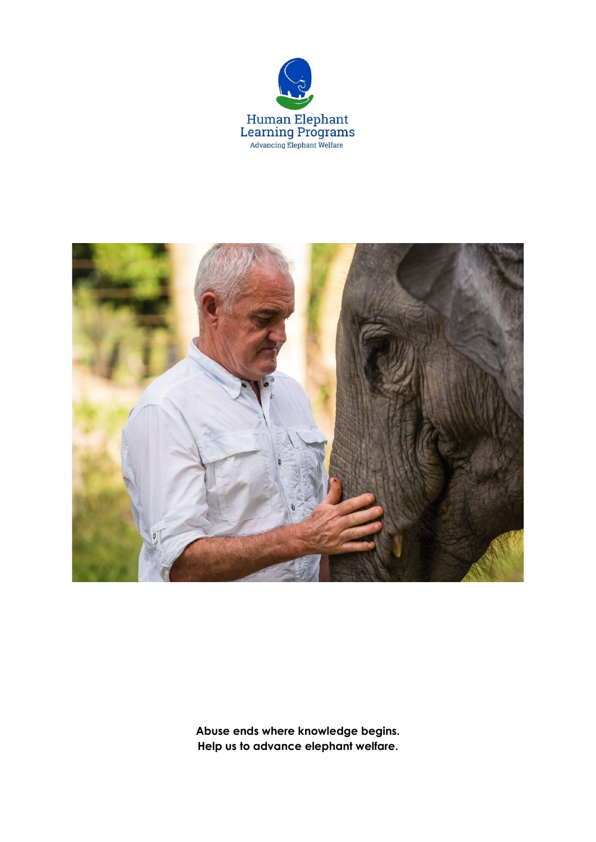



**Abuse ends where knowledge begins. Help us to advance elephant welfare.**